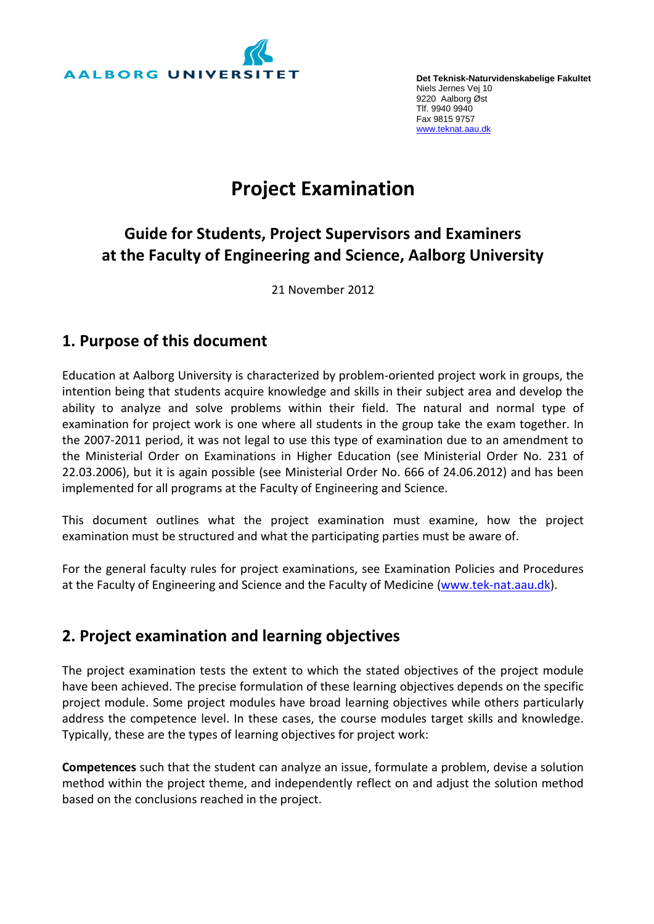

**Det Teknisk-Naturvidenskabelige Fakultet** Niels Jernes Vej 10 9220 Aalborg Øst Tlf. 9940 9940 Fax 9815 9757 www.teknat.aau.dk

# **Project Examination**

## **Guide for Students, Project Supervisors and Examiners at the Faculty of Engineering and Science, Aalborg University**

21 November 2012

#### **1. Purpose of this document**

Education at Aalborg University is characterized by problem-oriented project work in groups, the intention being that students acquire knowledge and skills in their subject area and develop the ability to analyze and solve problems within their field. The natural and normal type of examination for project work is one where all students in the group take the exam together. In the 2007-2011 period, it was not legal to use this type of examination due to an amendment to the Ministerial Order on Examinations in Higher Education (see Ministerial Order No. 231 of 22.03.2006), but it is again possible (see Ministerial Order No. 666 of 24.06.2012) and has been implemented for all programs at the Faculty of Engineering and Science.

This document outlines what the project examination must examine, how the project examination must be structured and what the participating parties must be aware of.

For the general faculty rules for project examinations, see Examination Policies and Procedures at the Faculty of Engineering and Science and the Faculty of Medicine [\(www.tek-nat.aau.dk\)](http://www.tek-nat.aau.dk/).

#### **2. Project examination and learning objectives**

The project examination tests the extent to which the stated objectives of the project module have been achieved. The precise formulation of these learning objectives depends on the specific project module. Some project modules have broad learning objectives while others particularly address the competence level. In these cases, the course modules target skills and knowledge. Typically, these are the types of learning objectives for project work:

**Competences** such that the student can analyze an issue, formulate a problem, devise a solution method within the project theme, and independently reflect on and adjust the solution method based on the conclusions reached in the project.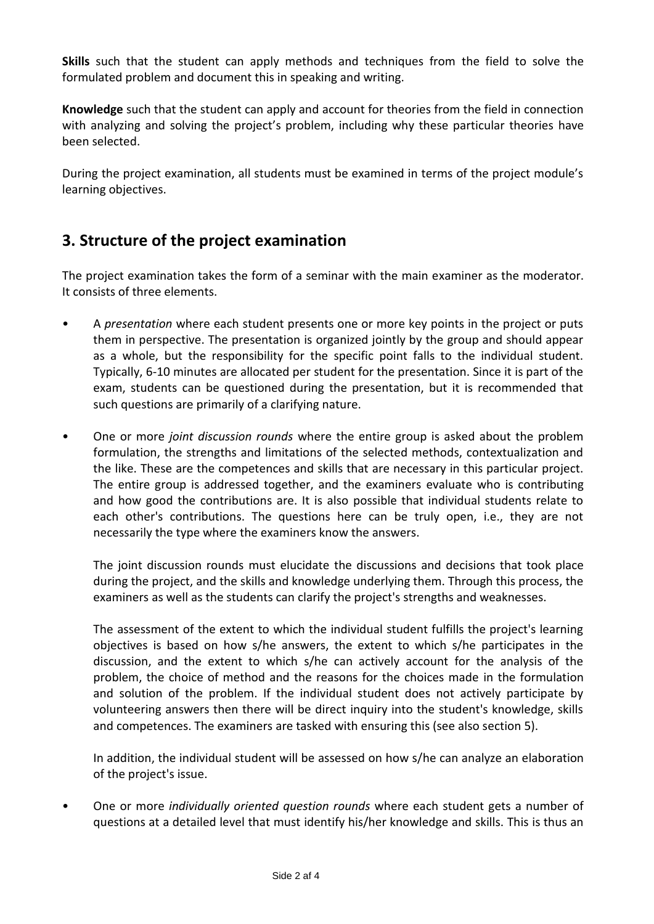**Skills** such that the student can apply methods and techniques from the field to solve the formulated problem and document this in speaking and writing.

**Knowledge** such that the student can apply and account for theories from the field in connection with analyzing and solving the project's problem, including why these particular theories have been selected.

During the project examination, all students must be examined in terms of the project module's learning objectives.

## **3. Structure of the project examination**

The project examination takes the form of a seminar with the main examiner as the moderator. It consists of three elements.

- A *presentation* where each student presents one or more key points in the project or puts them in perspective. The presentation is organized jointly by the group and should appear as a whole, but the responsibility for the specific point falls to the individual student. Typically, 6-10 minutes are allocated per student for the presentation. Since it is part of the exam, students can be questioned during the presentation, but it is recommended that such questions are primarily of a clarifying nature.
- One or more *joint discussion rounds* where the entire group is asked about the problem formulation, the strengths and limitations of the selected methods, contextualization and the like. These are the competences and skills that are necessary in this particular project. The entire group is addressed together, and the examiners evaluate who is contributing and how good the contributions are. It is also possible that individual students relate to each other's contributions. The questions here can be truly open, i.e., they are not necessarily the type where the examiners know the answers.

The joint discussion rounds must elucidate the discussions and decisions that took place during the project, and the skills and knowledge underlying them. Through this process, the examiners as well as the students can clarify the project's strengths and weaknesses.

The assessment of the extent to which the individual student fulfills the project's learning objectives is based on how s/he answers, the extent to which s/he participates in the discussion, and the extent to which s/he can actively account for the analysis of the problem, the choice of method and the reasons for the choices made in the formulation and solution of the problem. If the individual student does not actively participate by volunteering answers then there will be direct inquiry into the student's knowledge, skills and competences. The examiners are tasked with ensuring this (see also section 5).

In addition, the individual student will be assessed on how s/he can analyze an elaboration of the project's issue.

• One or more *individually oriented question rounds* where each student gets a number of questions at a detailed level that must identify his/her knowledge and skills. This is thus an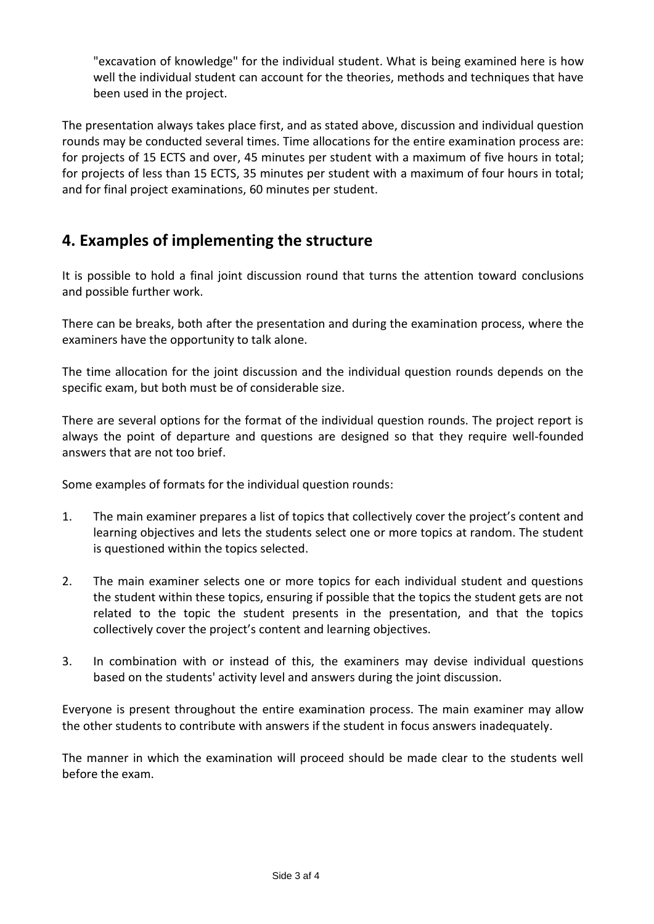"excavation of knowledge" for the individual student. What is being examined here is how well the individual student can account for the theories, methods and techniques that have been used in the project.

The presentation always takes place first, and as stated above, discussion and individual question rounds may be conducted several times. Time allocations for the entire examination process are: for projects of 15 ECTS and over, 45 minutes per student with a maximum of five hours in total; for projects of less than 15 ECTS, 35 minutes per student with a maximum of four hours in total; and for final project examinations, 60 minutes per student.

## **4. Examples of implementing the structure**

It is possible to hold a final joint discussion round that turns the attention toward conclusions and possible further work.

There can be breaks, both after the presentation and during the examination process, where the examiners have the opportunity to talk alone.

The time allocation for the joint discussion and the individual question rounds depends on the specific exam, but both must be of considerable size.

There are several options for the format of the individual question rounds. The project report is always the point of departure and questions are designed so that they require well-founded answers that are not too brief.

Some examples of formats for the individual question rounds:

- 1. The main examiner prepares a list of topics that collectively cover the project's content and learning objectives and lets the students select one or more topics at random. The student is questioned within the topics selected.
- 2. The main examiner selects one or more topics for each individual student and questions the student within these topics, ensuring if possible that the topics the student gets are not related to the topic the student presents in the presentation, and that the topics collectively cover the project's content and learning objectives.
- 3. In combination with or instead of this, the examiners may devise individual questions based on the students' activity level and answers during the joint discussion.

Everyone is present throughout the entire examination process. The main examiner may allow the other students to contribute with answers if the student in focus answers inadequately.

The manner in which the examination will proceed should be made clear to the students well before the exam.